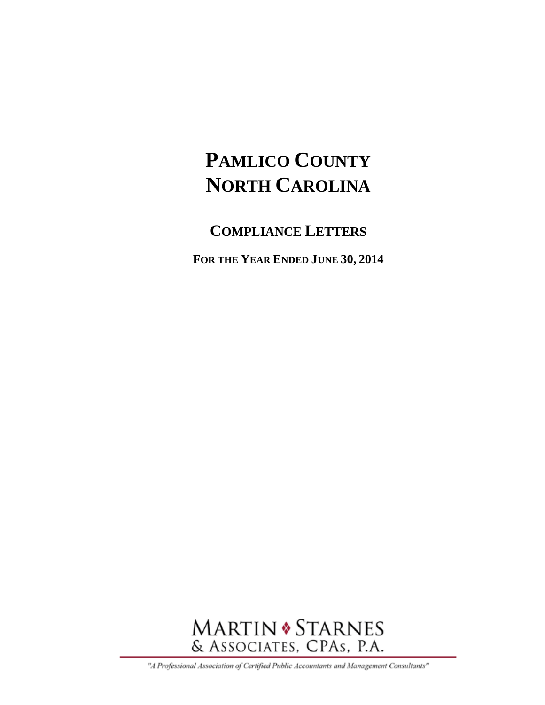# **COMPLIANCE LETTERS**

**FOR THE YEAR ENDED JUNE 30, 2014**



"A Professional Association of Certified Public Accountants and Management Consultants"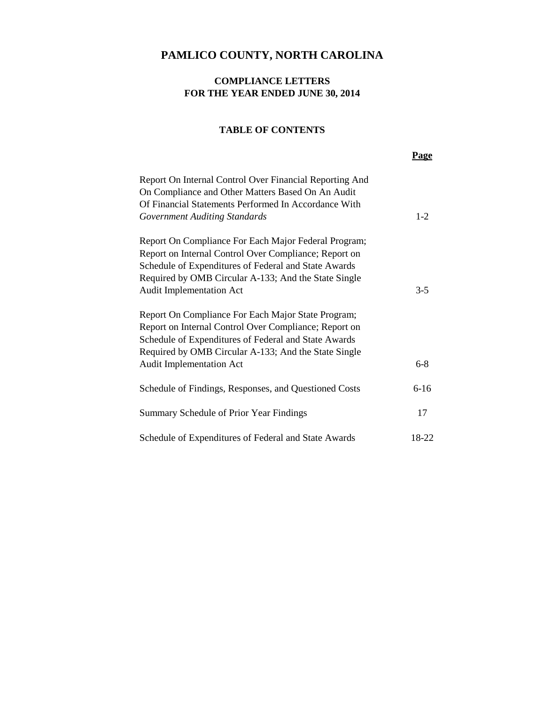# **COMPLIANCE LETTERS FOR THE YEAR ENDED JUNE 30, 2014**

## **TABLE OF CONTENTS**

|                                                                                                                                                                                                                                                                | Page     |
|----------------------------------------------------------------------------------------------------------------------------------------------------------------------------------------------------------------------------------------------------------------|----------|
| Report On Internal Control Over Financial Reporting And<br>On Compliance and Other Matters Based On An Audit<br>Of Financial Statements Performed In Accordance With<br><b>Government Auditing Standards</b>                                                   | $1 - 2$  |
| Report On Compliance For Each Major Federal Program;<br>Report on Internal Control Over Compliance; Report on<br>Schedule of Expenditures of Federal and State Awards<br>Required by OMB Circular A-133; And the State Single<br>Audit Implementation Act      | $3-5$    |
| Report On Compliance For Each Major State Program;<br>Report on Internal Control Over Compliance; Report on<br>Schedule of Expenditures of Federal and State Awards<br>Required by OMB Circular A-133; And the State Single<br><b>Audit Implementation Act</b> | $6-8$    |
| Schedule of Findings, Responses, and Questioned Costs                                                                                                                                                                                                          | $6 - 16$ |
| Summary Schedule of Prior Year Findings                                                                                                                                                                                                                        | 17       |
| Schedule of Expenditures of Federal and State Awards                                                                                                                                                                                                           | 18-22    |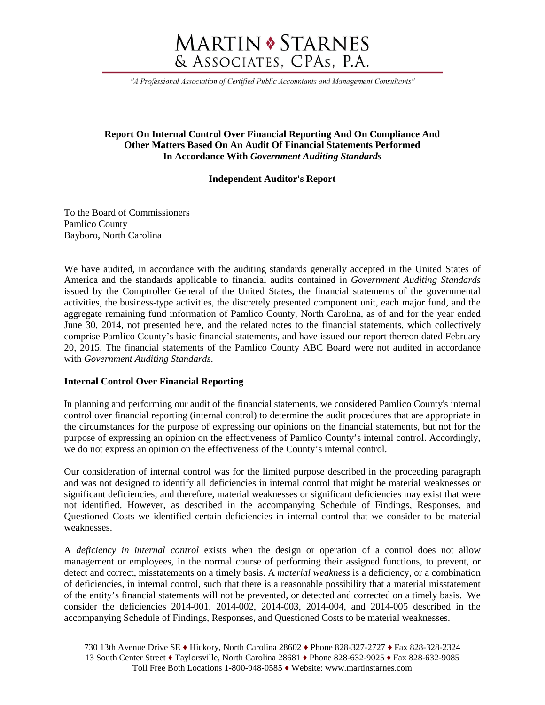# **MARTIN • STARNES** & ASSOCIATES, CPAs, P.A.

"A Professional Association of Certified Public Accountants and Management Consultants"

## **Report On Internal Control Over Financial Reporting And On Compliance And Other Matters Based On An Audit Of Financial Statements Performed In Accordance With** *Government Auditing Standards*

#### **Independent Auditor's Report**

To the Board of Commissioners Pamlico County Bayboro, North Carolina

We have audited, in accordance with the auditing standards generally accepted in the United States of America and the standards applicable to financial audits contained in *Government Auditing Standards*  issued by the Comptroller General of the United States, the financial statements of the governmental activities, the business-type activities, the discretely presented component unit, each major fund, and the aggregate remaining fund information of Pamlico County, North Carolina, as of and for the year ended June 30, 2014, not presented here, and the related notes to the financial statements, which collectively comprise Pamlico County's basic financial statements, and have issued our report thereon dated February 20, 2015. The financial statements of the Pamlico County ABC Board were not audited in accordance with *Government Auditing Standards*.

## **Internal Control Over Financial Reporting**

In planning and performing our audit of the financial statements, we considered Pamlico County's internal control over financial reporting (internal control) to determine the audit procedures that are appropriate in the circumstances for the purpose of expressing our opinions on the financial statements, but not for the purpose of expressing an opinion on the effectiveness of Pamlico County's internal control. Accordingly, we do not express an opinion on the effectiveness of the County's internal control.

Our consideration of internal control was for the limited purpose described in the proceeding paragraph and was not designed to identify all deficiencies in internal control that might be material weaknesses or significant deficiencies; and therefore, material weaknesses or significant deficiencies may exist that were not identified. However, as described in the accompanying Schedule of Findings, Responses, and Questioned Costs we identified certain deficiencies in internal control that we consider to be material weaknesses.

A *deficiency in internal control* exists when the design or operation of a control does not allow management or employees, in the normal course of performing their assigned functions, to prevent, or detect and correct, misstatements on a timely basis. A *material weakness* is a deficiency, or a combination of deficiencies, in internal control, such that there is a reasonable possibility that a material misstatement of the entity's financial statements will not be prevented, or detected and corrected on a timely basis. We consider the deficiencies 2014-001, 2014-002, 2014-003, 2014-004, and 2014-005 described in the accompanying Schedule of Findings, Responses, and Questioned Costs to be material weaknesses.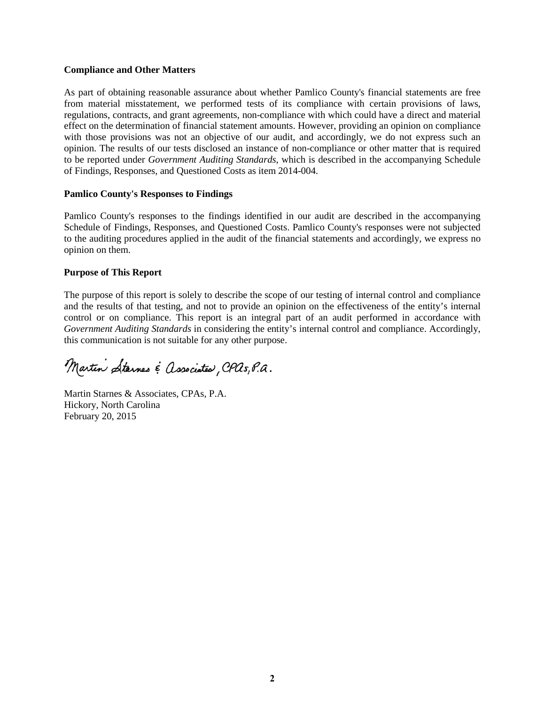#### **Compliance and Other Matters**

As part of obtaining reasonable assurance about whether Pamlico County's financial statements are free from material misstatement, we performed tests of its compliance with certain provisions of laws, regulations, contracts, and grant agreements, non-compliance with which could have a direct and material effect on the determination of financial statement amounts. However, providing an opinion on compliance with those provisions was not an objective of our audit, and accordingly, we do not express such an opinion. The results of our tests disclosed an instance of non-compliance or other matter that is required to be reported under *Government Auditing Standards*, which is described in the accompanying Schedule of Findings, Responses, and Questioned Costs as item 2014-004.

#### **Pamlico County's Responses to Findings**

Pamlico County's responses to the findings identified in our audit are described in the accompanying Schedule of Findings, Responses, and Questioned Costs. Pamlico County's responses were not subjected to the auditing procedures applied in the audit of the financial statements and accordingly, we express no opinion on them.

#### **Purpose of This Report**

The purpose of this report is solely to describe the scope of our testing of internal control and compliance and the results of that testing, and not to provide an opinion on the effectiveness of the entity's internal control or on compliance. This report is an integral part of an audit performed in accordance with *Government Auditing Standards* in considering the entity's internal control and compliance. Accordingly, this communication is not suitable for any other purpose.

Martin Starnes & associated, CPas, P.a.

Martin Starnes & Associates, CPAs, P.A. Hickory, North Carolina February 20, 2015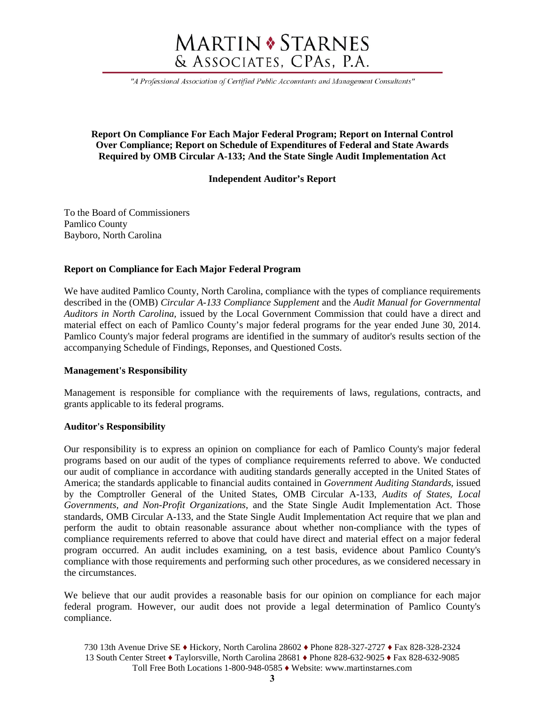# **MARTIN • STARNES** & ASSOCIATES, CPAs, P.A.

"A Professional Association of Certified Public Accountants and Management Consultants"

## **Report On Compliance For Each Major Federal Program; Report on Internal Control Over Compliance; Report on Schedule of Expenditures of Federal and State Awards Required by OMB Circular A-133; And the State Single Audit Implementation Act**

#### **Independent Auditor's Report**

To the Board of Commissioners Pamlico County Bayboro, North Carolina

#### **Report on Compliance for Each Major Federal Program**

We have audited Pamlico County, North Carolina, compliance with the types of compliance requirements described in the (OMB) *Circular A-133 Compliance Supplement* and the *Audit Manual for Governmental Auditors in North Carolina,* issued by the Local Government Commission that could have a direct and material effect on each of Pamlico County's major federal programs for the year ended June 30, 2014. Pamlico County's major federal programs are identified in the summary of auditor's results section of the accompanying Schedule of Findings, Reponses, and Questioned Costs.

#### **Management's Responsibility**

Management is responsible for compliance with the requirements of laws, regulations, contracts, and grants applicable to its federal programs.

#### **Auditor's Responsibility**

Our responsibility is to express an opinion on compliance for each of Pamlico County's major federal programs based on our audit of the types of compliance requirements referred to above. We conducted our audit of compliance in accordance with auditing standards generally accepted in the United States of America; the standards applicable to financial audits contained in *Government Auditing Standards*, issued by the Comptroller General of the United States, OMB Circular A-133, *Audits of States, Local Governments, and Non-Profit Organizations*, and the State Single Audit Implementation Act. Those standards, OMB Circular A-133, and the State Single Audit Implementation Act require that we plan and perform the audit to obtain reasonable assurance about whether non-compliance with the types of compliance requirements referred to above that could have direct and material effect on a major federal program occurred. An audit includes examining, on a test basis, evidence about Pamlico County's compliance with those requirements and performing such other procedures, as we considered necessary in the circumstances.

We believe that our audit provides a reasonable basis for our opinion on compliance for each major federal program. However, our audit does not provide a legal determination of Pamlico County's compliance.

730 13th Avenue Drive SE ♦ Hickory, North Carolina 28602 ♦ Phone 828-327-2727 ♦ Fax 828-328-2324 13 South Center Street ♦ Taylorsville, North Carolina 28681 ♦ Phone 828-632-9025 ♦ Fax 828-632-9085 Toll Free Both Locations 1-800-948-0585 ♦ Website: www.martinstarnes.com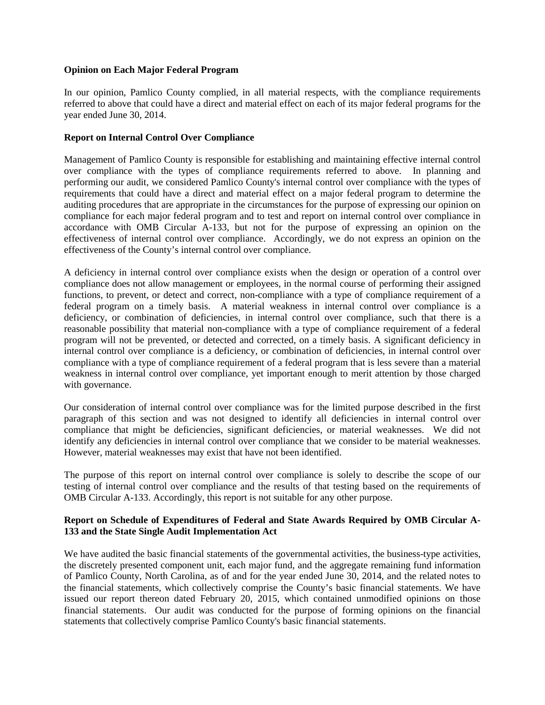#### **Opinion on Each Major Federal Program**

In our opinion, Pamlico County complied, in all material respects, with the compliance requirements referred to above that could have a direct and material effect on each of its major federal programs for the year ended June 30, 2014.

#### **Report on Internal Control Over Compliance**

Management of Pamlico County is responsible for establishing and maintaining effective internal control over compliance with the types of compliance requirements referred to above. In planning and performing our audit, we considered Pamlico County's internal control over compliance with the types of requirements that could have a direct and material effect on a major federal program to determine the auditing procedures that are appropriate in the circumstances for the purpose of expressing our opinion on compliance for each major federal program and to test and report on internal control over compliance in accordance with OMB Circular A-133, but not for the purpose of expressing an opinion on the effectiveness of internal control over compliance. Accordingly, we do not express an opinion on the effectiveness of the County's internal control over compliance.

A deficiency in internal control over compliance exists when the design or operation of a control over compliance does not allow management or employees, in the normal course of performing their assigned functions, to prevent, or detect and correct, non-compliance with a type of compliance requirement of a federal program on a timely basis. A material weakness in internal control over compliance is a deficiency, or combination of deficiencies, in internal control over compliance, such that there is a reasonable possibility that material non-compliance with a type of compliance requirement of a federal program will not be prevented, or detected and corrected, on a timely basis. A significant deficiency in internal control over compliance is a deficiency, or combination of deficiencies, in internal control over compliance with a type of compliance requirement of a federal program that is less severe than a material weakness in internal control over compliance, yet important enough to merit attention by those charged with governance.

Our consideration of internal control over compliance was for the limited purpose described in the first paragraph of this section and was not designed to identify all deficiencies in internal control over compliance that might be deficiencies, significant deficiencies, or material weaknesses. We did not identify any deficiencies in internal control over compliance that we consider to be material weaknesses. However, material weaknesses may exist that have not been identified.

The purpose of this report on internal control over compliance is solely to describe the scope of our testing of internal control over compliance and the results of that testing based on the requirements of OMB Circular A-133. Accordingly, this report is not suitable for any other purpose.

#### **Report on Schedule of Expenditures of Federal and State Awards Required by OMB Circular A-133 and the State Single Audit Implementation Act**

We have audited the basic financial statements of the governmental activities, the business-type activities, the discretely presented component unit, each major fund, and the aggregate remaining fund information of Pamlico County, North Carolina, as of and for the year ended June 30, 2014, and the related notes to the financial statements, which collectively comprise the County's basic financial statements. We have issued our report thereon dated February 20, 2015, which contained unmodified opinions on those financial statements. Our audit was conducted for the purpose of forming opinions on the financial statements that collectively comprise Pamlico County's basic financial statements.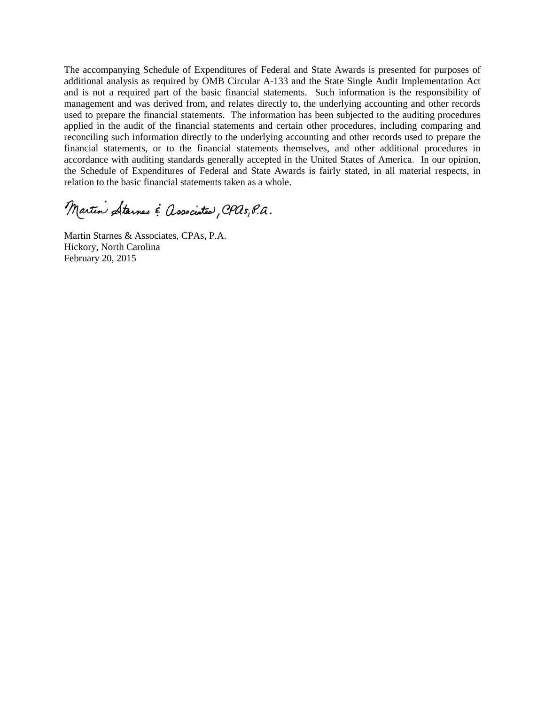The accompanying Schedule of Expenditures of Federal and State Awards is presented for purposes of additional analysis as required by OMB Circular A-133 and the State Single Audit Implementation Act and is not a required part of the basic financial statements. Such information is the responsibility of management and was derived from, and relates directly to, the underlying accounting and other records used to prepare the financial statements. The information has been subjected to the auditing procedures applied in the audit of the financial statements and certain other procedures, including comparing and reconciling such information directly to the underlying accounting and other records used to prepare the financial statements, or to the financial statements themselves, and other additional procedures in accordance with auditing standards generally accepted in the United States of America. In our opinion, the Schedule of Expenditures of Federal and State Awards is fairly stated, in all material respects, in relation to the basic financial statements taken as a whole.

Martin Starnes & associated, CPAS, P.a.

Martin Starnes & Associates, CPAs, P.A. Hickory, North Carolina February 20, 2015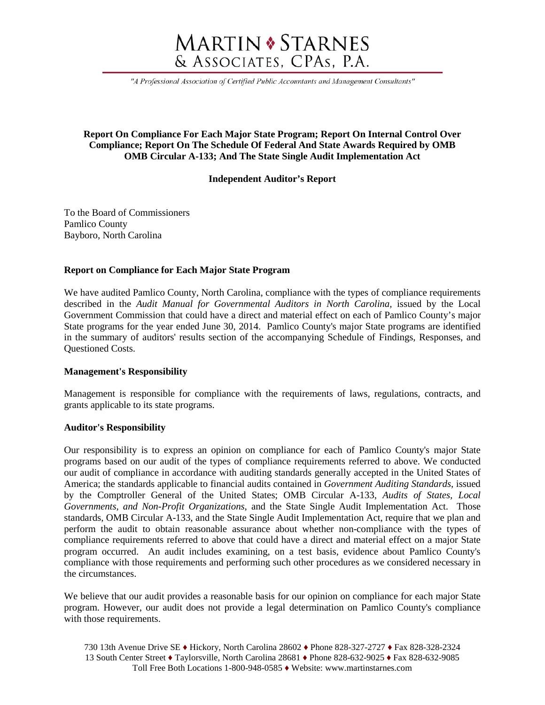# **MARTIN • STARNES** & ASSOCIATES, CPAs, P.A.

"A Professional Association of Certified Public Accountants and Management Consultants"

## **Report On Compliance For Each Major State Program; Report On Internal Control Over Compliance; Report On The Schedule Of Federal And State Awards Required by OMB OMB Circular A-133; And The State Single Audit Implementation Act**

#### **Independent Auditor's Report**

To the Board of Commissioners Pamlico County Bayboro, North Carolina

#### **Report on Compliance for Each Major State Program**

We have audited Pamlico County, North Carolina, compliance with the types of compliance requirements described in the *Audit Manual for Governmental Auditors in North Carolina*, issued by the Local Government Commission that could have a direct and material effect on each of Pamlico County's major State programs for the year ended June 30, 2014. Pamlico County's major State programs are identified in the summary of auditors' results section of the accompanying Schedule of Findings, Responses, and Questioned Costs.

#### **Management's Responsibility**

Management is responsible for compliance with the requirements of laws, regulations, contracts, and grants applicable to its state programs.

#### **Auditor's Responsibility**

Our responsibility is to express an opinion on compliance for each of Pamlico County's major State programs based on our audit of the types of compliance requirements referred to above. We conducted our audit of compliance in accordance with auditing standards generally accepted in the United States of America; the standards applicable to financial audits contained in *Government Auditing Standards*, issued by the Comptroller General of the United States; OMB Circular A-133, *Audits of States, Local Governments, and Non-Profit Organizations*, and the State Single Audit Implementation Act. Those standards, OMB Circular A-133, and the State Single Audit Implementation Act, require that we plan and perform the audit to obtain reasonable assurance about whether non-compliance with the types of compliance requirements referred to above that could have a direct and material effect on a major State program occurred. An audit includes examining, on a test basis, evidence about Pamlico County's compliance with those requirements and performing such other procedures as we considered necessary in the circumstances.

We believe that our audit provides a reasonable basis for our opinion on compliance for each major State program. However, our audit does not provide a legal determination on Pamlico County's compliance with those requirements.

730 13th Avenue Drive SE ♦ Hickory, North Carolina 28602 ♦ Phone 828-327-2727 ♦ Fax 828-328-2324 13 South Center Street ♦ Taylorsville, North Carolina 28681 ♦ Phone 828-632-9025 ♦ Fax 828-632-9085 Toll Free Both Locations 1-800-948-0585 ♦ Website: www.martinstarnes.com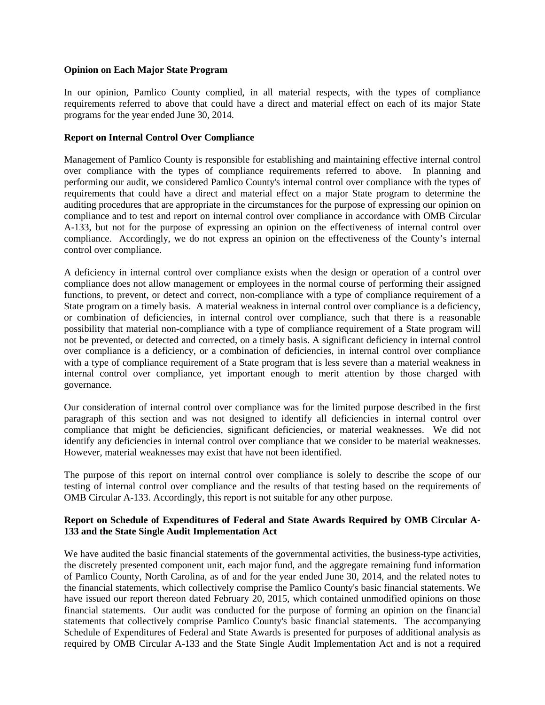#### **Opinion on Each Major State Program**

In our opinion, Pamlico County complied, in all material respects, with the types of compliance requirements referred to above that could have a direct and material effect on each of its major State programs for the year ended June 30, 2014.

#### **Report on Internal Control Over Compliance**

Management of Pamlico County is responsible for establishing and maintaining effective internal control over compliance with the types of compliance requirements referred to above. In planning and performing our audit, we considered Pamlico County's internal control over compliance with the types of requirements that could have a direct and material effect on a major State program to determine the auditing procedures that are appropriate in the circumstances for the purpose of expressing our opinion on compliance and to test and report on internal control over compliance in accordance with OMB Circular A-133, but not for the purpose of expressing an opinion on the effectiveness of internal control over compliance. Accordingly, we do not express an opinion on the effectiveness of the County's internal control over compliance.

A deficiency in internal control over compliance exists when the design or operation of a control over compliance does not allow management or employees in the normal course of performing their assigned functions, to prevent, or detect and correct, non-compliance with a type of compliance requirement of a State program on a timely basis. A material weakness in internal control over compliance is a deficiency, or combination of deficiencies, in internal control over compliance, such that there is a reasonable possibility that material non-compliance with a type of compliance requirement of a State program will not be prevented, or detected and corrected, on a timely basis. A significant deficiency in internal control over compliance is a deficiency, or a combination of deficiencies, in internal control over compliance with a type of compliance requirement of a State program that is less severe than a material weakness in internal control over compliance, yet important enough to merit attention by those charged with governance.

Our consideration of internal control over compliance was for the limited purpose described in the first paragraph of this section and was not designed to identify all deficiencies in internal control over compliance that might be deficiencies, significant deficiencies, or material weaknesses. We did not identify any deficiencies in internal control over compliance that we consider to be material weaknesses. However, material weaknesses may exist that have not been identified.

The purpose of this report on internal control over compliance is solely to describe the scope of our testing of internal control over compliance and the results of that testing based on the requirements of OMB Circular A-133. Accordingly, this report is not suitable for any other purpose.

#### **Report on Schedule of Expenditures of Federal and State Awards Required by OMB Circular A-133 and the State Single Audit Implementation Act**

We have audited the basic financial statements of the governmental activities, the business-type activities, the discretely presented component unit, each major fund, and the aggregate remaining fund information of Pamlico County, North Carolina, as of and for the year ended June 30, 2014, and the related notes to the financial statements, which collectively comprise the Pamlico County's basic financial statements. We have issued our report thereon dated February 20, 2015, which contained unmodified opinions on those financial statements. Our audit was conducted for the purpose of forming an opinion on the financial statements that collectively comprise Pamlico County's basic financial statements. The accompanying Schedule of Expenditures of Federal and State Awards is presented for purposes of additional analysis as required by OMB Circular A-133 and the State Single Audit Implementation Act and is not a required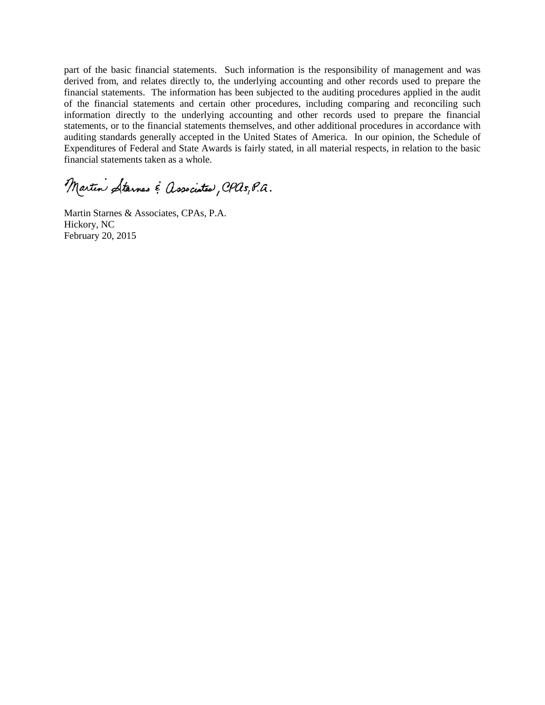part of the basic financial statements. Such information is the responsibility of management and was derived from, and relates directly to, the underlying accounting and other records used to prepare the financial statements. The information has been subjected to the auditing procedures applied in the audit of the financial statements and certain other procedures, including comparing and reconciling such information directly to the underlying accounting and other records used to prepare the financial statements, or to the financial statements themselves, and other additional procedures in accordance with auditing standards generally accepted in the United States of America. In our opinion, the Schedule of Expenditures of Federal and State Awards is fairly stated, in all material respects, in relation to the basic financial statements taken as a whole.

Martin Starnes & Associated, CPAS, P.a.

Martin Starnes & Associates, CPAs, P.A. Hickory, NC February 20, 2015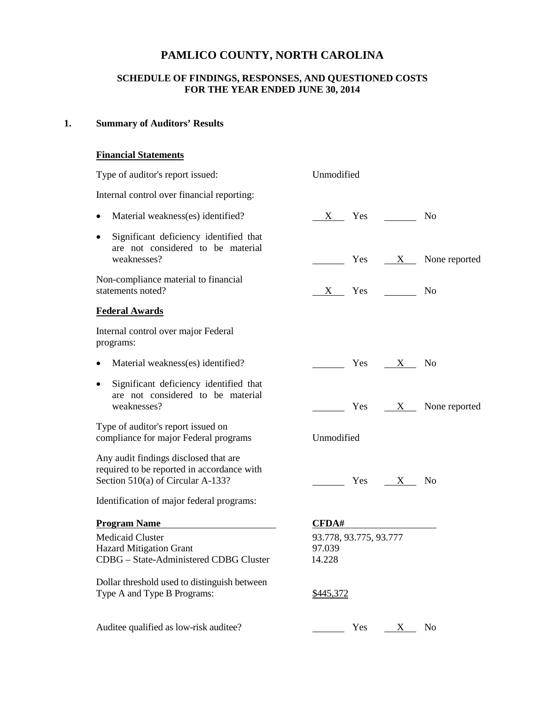## **SCHEDULE OF FINDINGS, RESPONSES, AND QUESTIONED COSTS FOR THE YEAR ENDED JUNE 30, 2014**

## **1. Summary of Auditors' Results**

# **Financial Statements**

| Type of auditor's report issued:                                                                                                                                      | Unmodified                             |  |
|-----------------------------------------------------------------------------------------------------------------------------------------------------------------------|----------------------------------------|--|
| Internal control over financial reporting:                                                                                                                            |                                        |  |
| Material weakness(es) identified?<br>٠                                                                                                                                | X Yes<br>N <sub>0</sub>                |  |
| Significant deficiency identified that<br>٠<br>are not considered to be material<br>weaknesses?                                                                       | None reported<br>Yes<br>$\overline{X}$ |  |
| Non-compliance material to financial<br>statements noted?                                                                                                             | X Yes<br>N <sub>0</sub>                |  |
| <b>Federal Awards</b>                                                                                                                                                 |                                        |  |
| Internal control over major Federal<br>programs:                                                                                                                      |                                        |  |
| Material weakness(es) identified?<br>٠                                                                                                                                | $Yes$ $X$ No                           |  |
| Significant deficiency identified that<br>$\bullet$<br>are not considered to be material<br>weaknesses?                                                               | Yes<br>$X$ None reported               |  |
| Type of auditor's report issued on<br>compliance for major Federal programs                                                                                           | Unmodified                             |  |
| Any audit findings disclosed that are<br>required to be reported in accordance with<br>Section 510(a) of Circular A-133?<br>Identification of major federal programs: | $Yes$ $X$ No                           |  |
| <b>Program Name</b>                                                                                                                                                   | $\mathbf{CFDA}$ #                      |  |
| <b>Medicaid Cluster</b>                                                                                                                                               | 93.778, 93.775, 93.777                 |  |
| <b>Hazard Mitigation Grant</b>                                                                                                                                        | 97.039                                 |  |
| CDBG - State-Administered CDBG Cluster                                                                                                                                | 14.228                                 |  |
| Dollar threshold used to distinguish between                                                                                                                          |                                        |  |
| Type A and Type B Programs:                                                                                                                                           | \$445,372                              |  |
| Auditee qualified as low-risk auditee?                                                                                                                                | Yes<br>No                              |  |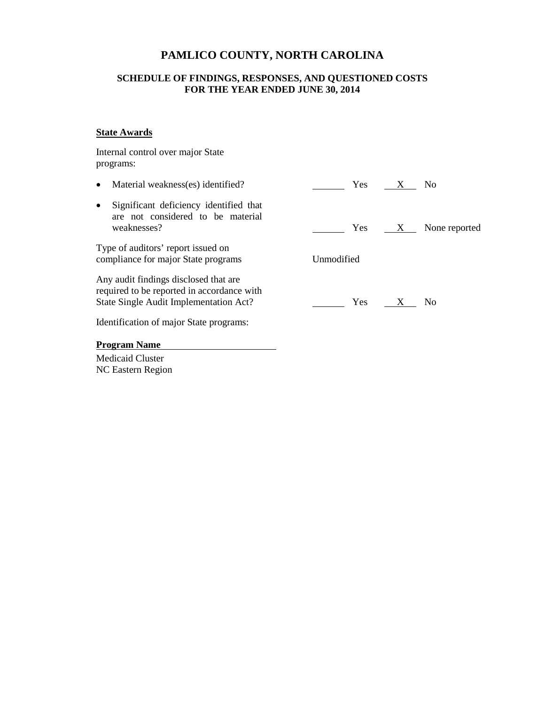## **SCHEDULE OF FINDINGS, RESPONSES, AND QUESTIONED COSTS FOR THE YEAR ENDED JUNE 30, 2014**

## **State Awards**

| Internal control over major State<br>programs:                                                                                                                           |                            |
|--------------------------------------------------------------------------------------------------------------------------------------------------------------------------|----------------------------|
| Material weakness(es) identified?<br>٠                                                                                                                                   | Yes<br>X<br>N <sub>0</sub> |
| Significant deficiency identified that<br>$\bullet$<br>are not considered to be material<br>weaknesses?                                                                  | Yes X<br>None reported     |
| Type of auditors' report issued on<br>compliance for major State programs                                                                                                | Unmodified                 |
| Any audit findings disclosed that are<br>required to be reported in accordance with<br>State Single Audit Implementation Act?<br>Identification of major State programs: | Yes<br>X<br>N <sub>0</sub> |
| <b>Program Name</b>                                                                                                                                                      |                            |

Medicaid Cluster NC Eastern Region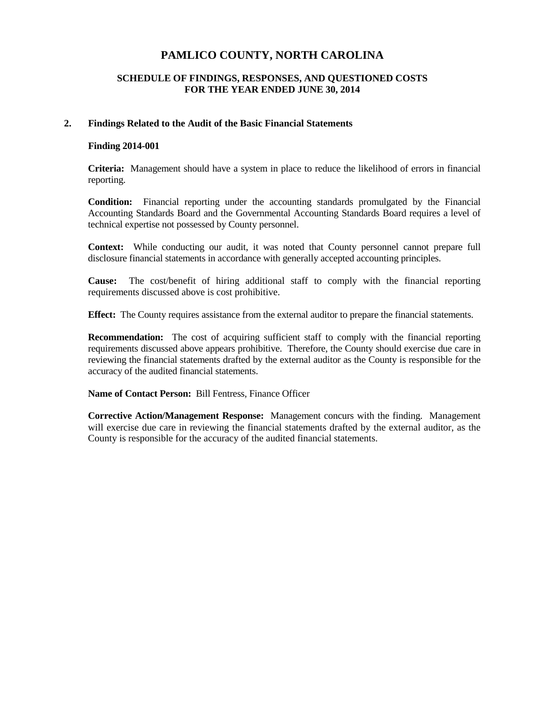## **SCHEDULE OF FINDINGS, RESPONSES, AND QUESTIONED COSTS FOR THE YEAR ENDED JUNE 30, 2014**

#### **2. Findings Related to the Audit of the Basic Financial Statements**

#### **Finding 2014-001**

**Criteria:** Management should have a system in place to reduce the likelihood of errors in financial reporting.

**Condition:** Financial reporting under the accounting standards promulgated by the Financial Accounting Standards Board and the Governmental Accounting Standards Board requires a level of technical expertise not possessed by County personnel.

**Context:** While conducting our audit, it was noted that County personnel cannot prepare full disclosure financial statements in accordance with generally accepted accounting principles.

**Cause:** The cost/benefit of hiring additional staff to comply with the financial reporting requirements discussed above is cost prohibitive.

**Effect:** The County requires assistance from the external auditor to prepare the financial statements.

**Recommendation:** The cost of acquiring sufficient staff to comply with the financial reporting requirements discussed above appears prohibitive. Therefore, the County should exercise due care in reviewing the financial statements drafted by the external auditor as the County is responsible for the accuracy of the audited financial statements.

**Name of Contact Person:** Bill Fentress, Finance Officer

**Corrective Action/Management Response:** Management concurs with the finding. Management will exercise due care in reviewing the financial statements drafted by the external auditor, as the County is responsible for the accuracy of the audited financial statements.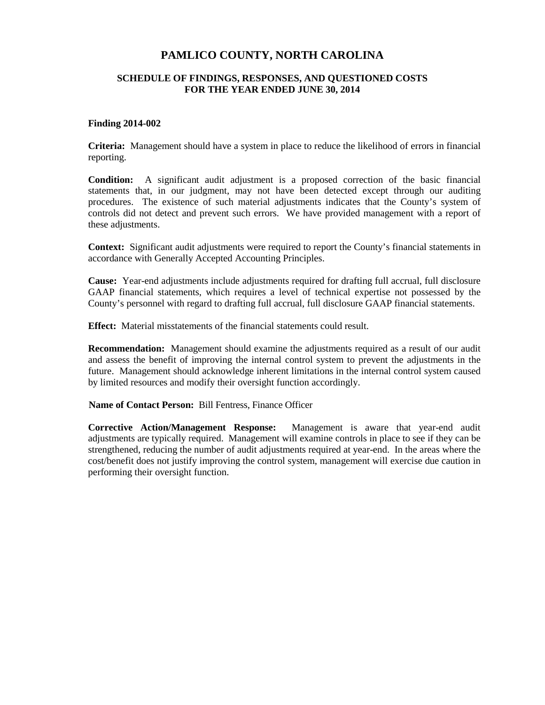## **SCHEDULE OF FINDINGS, RESPONSES, AND QUESTIONED COSTS FOR THE YEAR ENDED JUNE 30, 2014**

#### **Finding 2014-002**

**Criteria:** Management should have a system in place to reduce the likelihood of errors in financial reporting.

**Condition:** A significant audit adjustment is a proposed correction of the basic financial statements that, in our judgment, may not have been detected except through our auditing procedures. The existence of such material adjustments indicates that the County's system of controls did not detect and prevent such errors. We have provided management with a report of these adjustments.

**Context:** Significant audit adjustments were required to report the County's financial statements in accordance with Generally Accepted Accounting Principles.

**Cause:** Year-end adjustments include adjustments required for drafting full accrual, full disclosure GAAP financial statements, which requires a level of technical expertise not possessed by the County's personnel with regard to drafting full accrual, full disclosure GAAP financial statements.

**Effect:** Material misstatements of the financial statements could result.

**Recommendation:** Management should examine the adjustments required as a result of our audit and assess the benefit of improving the internal control system to prevent the adjustments in the future. Management should acknowledge inherent limitations in the internal control system caused by limited resources and modify their oversight function accordingly.

**Name of Contact Person:** Bill Fentress, Finance Officer

**Corrective Action/Management Response:** Management is aware that year-end audit adjustments are typically required. Management will examine controls in place to see if they can be strengthened, reducing the number of audit adjustments required at year-end. In the areas where the cost/benefit does not justify improving the control system, management will exercise due caution in performing their oversight function.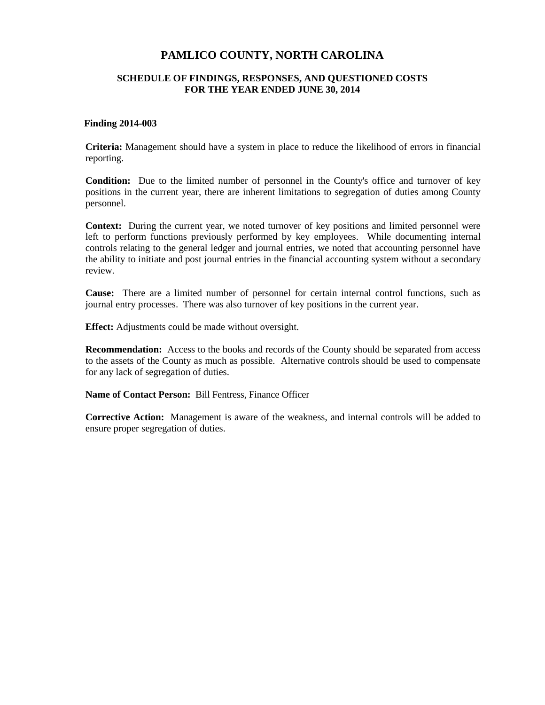#### **SCHEDULE OF FINDINGS, RESPONSES, AND QUESTIONED COSTS FOR THE YEAR ENDED JUNE 30, 2014**

#### **Finding 2014-003**

**Criteria:** Management should have a system in place to reduce the likelihood of errors in financial reporting.

**Condition:** Due to the limited number of personnel in the County's office and turnover of key positions in the current year, there are inherent limitations to segregation of duties among County personnel.

**Context:** During the current year, we noted turnover of key positions and limited personnel were left to perform functions previously performed by key employees. While documenting internal controls relating to the general ledger and journal entries, we noted that accounting personnel have the ability to initiate and post journal entries in the financial accounting system without a secondary review.

**Cause:** There are a limited number of personnel for certain internal control functions, such as journal entry processes. There was also turnover of key positions in the current year.

**Effect:** Adjustments could be made without oversight.

**Recommendation:** Access to the books and records of the County should be separated from access to the assets of the County as much as possible. Alternative controls should be used to compensate for any lack of segregation of duties.

**Name of Contact Person:** Bill Fentress, Finance Officer

**Corrective Action:** Management is aware of the weakness, and internal controls will be added to ensure proper segregation of duties.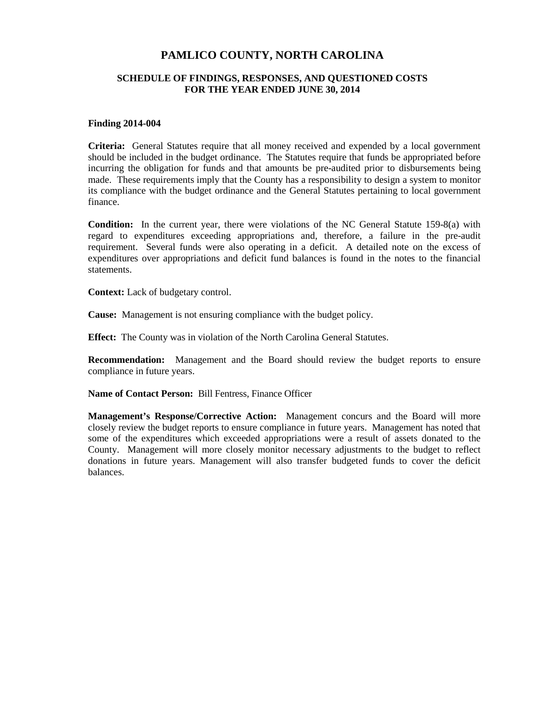#### **SCHEDULE OF FINDINGS, RESPONSES, AND QUESTIONED COSTS FOR THE YEAR ENDED JUNE 30, 2014**

#### **Finding 2014-004**

**Criteria:** General Statutes require that all money received and expended by a local government should be included in the budget ordinance. The Statutes require that funds be appropriated before incurring the obligation for funds and that amounts be pre-audited prior to disbursements being made. These requirements imply that the County has a responsibility to design a system to monitor its compliance with the budget ordinance and the General Statutes pertaining to local government finance.

**Condition:** In the current year, there were violations of the NC General Statute 159-8(a) with regard to expenditures exceeding appropriations and, therefore, a failure in the pre-audit requirement. Several funds were also operating in a deficit. A detailed note on the excess of expenditures over appropriations and deficit fund balances is found in the notes to the financial statements.

**Context:** Lack of budgetary control.

**Cause:** Management is not ensuring compliance with the budget policy.

**Effect:** The County was in violation of the North Carolina General Statutes.

**Recommendation:** Management and the Board should review the budget reports to ensure compliance in future years.

**Name of Contact Person:** Bill Fentress, Finance Officer

**Management's Response/Corrective Action:** Management concurs and the Board will more closely review the budget reports to ensure compliance in future years. Management has noted that some of the expenditures which exceeded appropriations were a result of assets donated to the County. Management will more closely monitor necessary adjustments to the budget to reflect donations in future years. Management will also transfer budgeted funds to cover the deficit balances.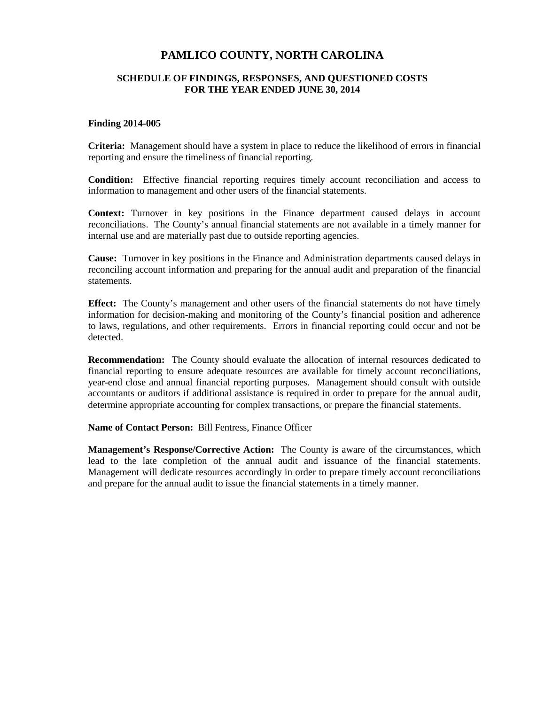## **SCHEDULE OF FINDINGS, RESPONSES, AND QUESTIONED COSTS FOR THE YEAR ENDED JUNE 30, 2014**

#### **Finding 2014-005**

**Criteria:** Management should have a system in place to reduce the likelihood of errors in financial reporting and ensure the timeliness of financial reporting.

**Condition:** Effective financial reporting requires timely account reconciliation and access to information to management and other users of the financial statements.

**Context:** Turnover in key positions in the Finance department caused delays in account reconciliations. The County's annual financial statements are not available in a timely manner for internal use and are materially past due to outside reporting agencies.

**Cause:** Turnover in key positions in the Finance and Administration departments caused delays in reconciling account information and preparing for the annual audit and preparation of the financial statements.

**Effect:** The County's management and other users of the financial statements do not have timely information for decision-making and monitoring of the County's financial position and adherence to laws, regulations, and other requirements. Errors in financial reporting could occur and not be detected.

**Recommendation:** The County should evaluate the allocation of internal resources dedicated to financial reporting to ensure adequate resources are available for timely account reconciliations, year-end close and annual financial reporting purposes. Management should consult with outside accountants or auditors if additional assistance is required in order to prepare for the annual audit, determine appropriate accounting for complex transactions, or prepare the financial statements.

**Name of Contact Person:** Bill Fentress, Finance Officer

**Management's Response/Corrective Action:** The County is aware of the circumstances, which lead to the late completion of the annual audit and issuance of the financial statements. Management will dedicate resources accordingly in order to prepare timely account reconciliations and prepare for the annual audit to issue the financial statements in a timely manner.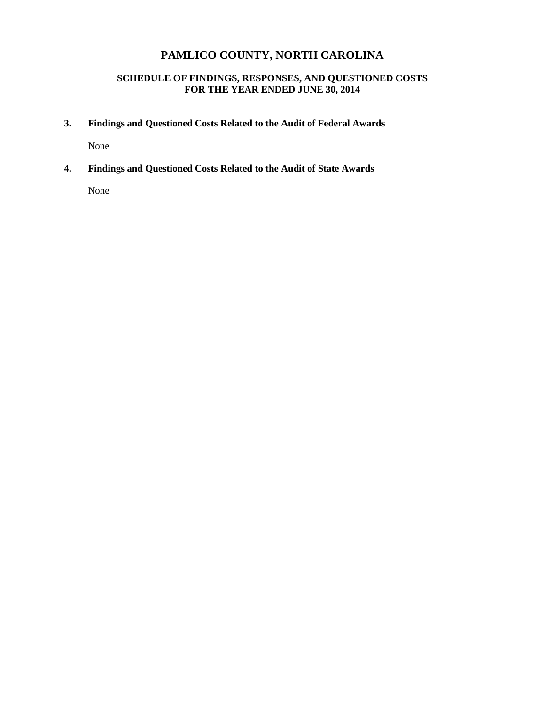## **SCHEDULE OF FINDINGS, RESPONSES, AND QUESTIONED COSTS FOR THE YEAR ENDED JUNE 30, 2014**

**3. Findings and Questioned Costs Related to the Audit of Federal Awards**

None

**4. Findings and Questioned Costs Related to the Audit of State Awards**

None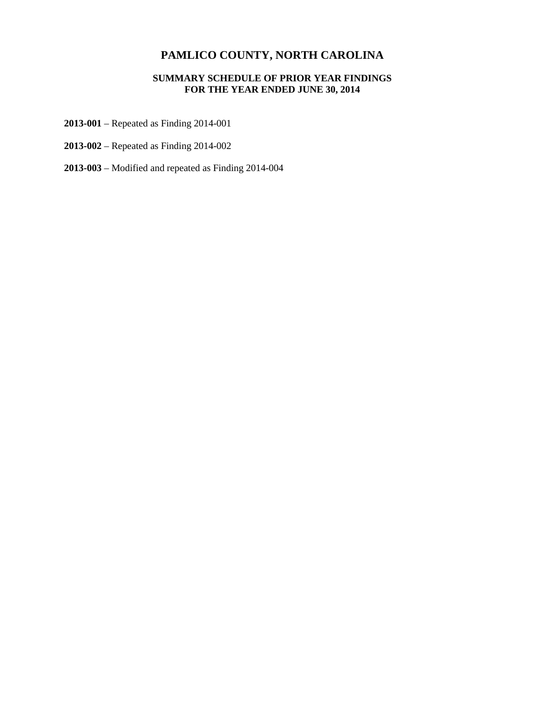## **SUMMARY SCHEDULE OF PRIOR YEAR FINDINGS FOR THE YEAR ENDED JUNE 30, 2014**

- **2013-001** Repeated as Finding 2014-001
- **2013-002** Repeated as Finding 2014-002
- **2013-003** Modified and repeated as Finding 2014-004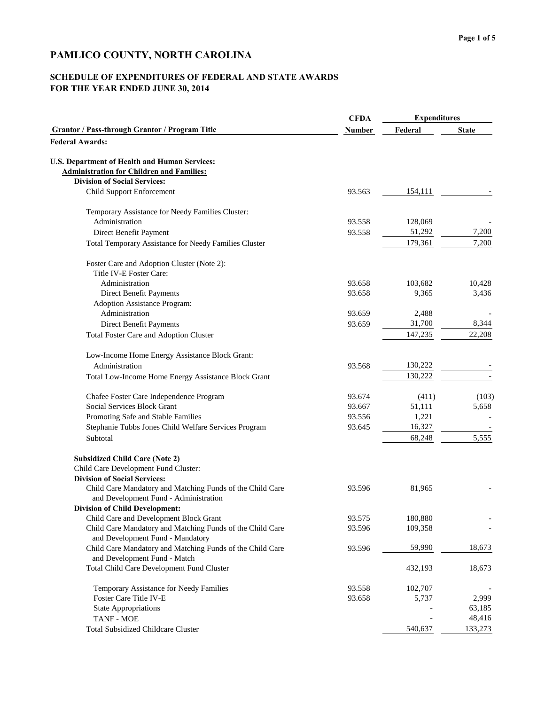|                                                                                                    | <b>CFDA</b>      | <b>Expenditures</b> |              |
|----------------------------------------------------------------------------------------------------|------------------|---------------------|--------------|
| <b>Grantor / Pass-through Grantor / Program Title</b>                                              | Number           | Federal             | <b>State</b> |
| <b>Federal Awards:</b>                                                                             |                  |                     |              |
| U.S. Department of Health and Human Services:<br><b>Administration for Children and Families:</b>  |                  |                     |              |
| <b>Division of Social Services:</b>                                                                |                  |                     |              |
| <b>Child Support Enforcement</b>                                                                   | 93.563           | 154,111             |              |
| Temporary Assistance for Needy Families Cluster:                                                   |                  |                     |              |
| Administration                                                                                     | 93.558           | 128,069             |              |
| Direct Benefit Payment                                                                             | 93.558           | 51,292              | 7,200        |
| Total Temporary Assistance for Needy Families Cluster                                              |                  | 179,361             | 7,200        |
| Foster Care and Adoption Cluster (Note 2):<br>Title IV-E Foster Care:                              |                  |                     |              |
| Administration                                                                                     | 93.658           | 103,682             | 10,428       |
| Direct Benefit Payments                                                                            | 93.658           | 9,365               | 3,436        |
| Adoption Assistance Program:                                                                       |                  |                     |              |
| Administration                                                                                     | 93.659           | 2,488               |              |
| Direct Benefit Payments                                                                            | 93.659           | 31,700              | 8,344        |
| Total Foster Care and Adoption Cluster                                                             |                  | 147,235             | 22,208       |
| Low-Income Home Energy Assistance Block Grant:                                                     |                  |                     |              |
| Administration                                                                                     | 93.568           | 130,222             |              |
| Total Low-Income Home Energy Assistance Block Grant                                                |                  | 130,222             |              |
|                                                                                                    |                  |                     |              |
| Chafee Foster Care Independence Program<br>Social Services Block Grant                             | 93.674<br>93.667 | (411)               | (103)        |
|                                                                                                    | 93.556           | 51,111<br>1,221     | 5,658        |
| Promoting Safe and Stable Families                                                                 | 93.645           | 16,327              |              |
| Stephanie Tubbs Jones Child Welfare Services Program<br>Subtotal                                   |                  | 68,248              | 5,555        |
|                                                                                                    |                  |                     |              |
| <b>Subsidized Child Care (Note 2)</b>                                                              |                  |                     |              |
| Child Care Development Fund Cluster:<br><b>Division of Social Services:</b>                        |                  |                     |              |
| Child Care Mandatory and Matching Funds of the Child Care<br>and Development Fund - Administration | 93.596           | 81,965              |              |
| <b>Division of Child Development:</b>                                                              |                  |                     |              |
| Child Care and Development Block Grant                                                             | 93.575           | 180,880             |              |
| Child Care Mandatory and Matching Funds of the Child Care                                          | 93.596           | 109,358             |              |
| and Development Fund - Mandatory                                                                   |                  |                     |              |
| Child Care Mandatory and Matching Funds of the Child Care                                          | 93.596           | 59,990              | 18,673       |
| and Development Fund - Match                                                                       |                  |                     |              |
| Total Child Care Development Fund Cluster                                                          |                  | 432,193             | 18,673       |
| Temporary Assistance for Needy Families                                                            | 93.558           | 102,707             |              |
| Foster Care Title IV-E                                                                             | 93.658           | 5,737               | 2,999        |
| <b>State Appropriations</b>                                                                        |                  |                     | 63,185       |
| TANF - MOE                                                                                         |                  |                     | 48,416       |
| <b>Total Subsidized Childcare Cluster</b>                                                          |                  | 540,637             | 133,273      |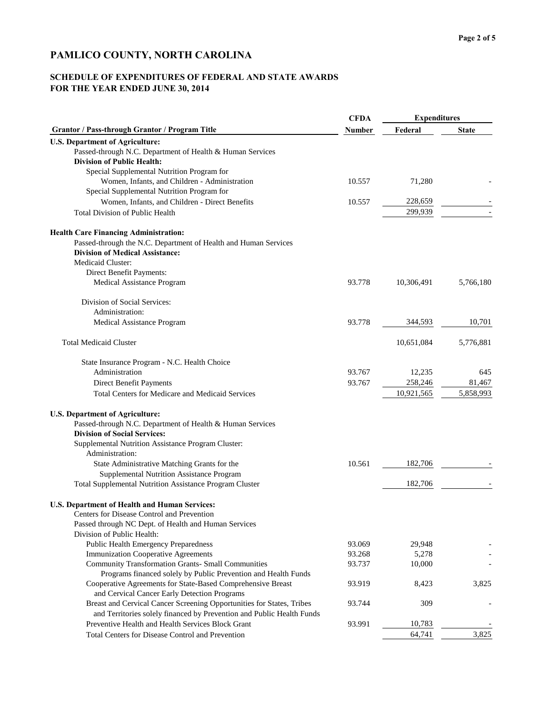|                                                                                                             | <b>CFDA</b> | <b>Expenditures</b> |              |
|-------------------------------------------------------------------------------------------------------------|-------------|---------------------|--------------|
| Grantor / Pass-through Grantor / Program Title                                                              | Number      | Federal             | <b>State</b> |
| <b>U.S. Department of Agriculture:</b>                                                                      |             |                     |              |
| Passed-through N.C. Department of Health & Human Services                                                   |             |                     |              |
| <b>Division of Public Health:</b>                                                                           |             |                     |              |
| Special Supplemental Nutrition Program for                                                                  |             |                     |              |
| Women, Infants, and Children - Administration                                                               | 10.557      | 71,280              |              |
| Special Supplemental Nutrition Program for                                                                  |             |                     |              |
| Women, Infants, and Children - Direct Benefits                                                              | 10.557      | 228,659             |              |
| <b>Total Division of Public Health</b>                                                                      |             | 299,939             |              |
| <b>Health Care Financing Administration:</b>                                                                |             |                     |              |
| Passed-through the N.C. Department of Health and Human Services                                             |             |                     |              |
| <b>Division of Medical Assistance:</b>                                                                      |             |                     |              |
| Medicaid Cluster:                                                                                           |             |                     |              |
| Direct Benefit Payments:                                                                                    |             |                     |              |
| Medical Assistance Program                                                                                  | 93.778      | 10,306,491          | 5,766,180    |
| Division of Social Services:                                                                                |             |                     |              |
| Administration:                                                                                             |             |                     |              |
| Medical Assistance Program                                                                                  | 93.778      | 344,593             | 10,701       |
| <b>Total Medicaid Cluster</b>                                                                               |             | 10,651,084          | 5,776,881    |
|                                                                                                             |             |                     |              |
| State Insurance Program - N.C. Health Choice                                                                |             |                     |              |
| Administration                                                                                              | 93.767      | 12,235              | 645          |
| Direct Benefit Payments                                                                                     | 93.767      | 258,246             | 81,467       |
| <b>Total Centers for Medicare and Medicaid Services</b>                                                     |             | 10,921,565          | 5,858,993    |
| <b>U.S. Department of Agriculture:</b>                                                                      |             |                     |              |
| Passed-through N.C. Department of Health & Human Services                                                   |             |                     |              |
| <b>Division of Social Services:</b>                                                                         |             |                     |              |
| Supplemental Nutrition Assistance Program Cluster:                                                          |             |                     |              |
| Administration:                                                                                             |             |                     |              |
| State Administrative Matching Grants for the                                                                | 10.561      | 182,706             |              |
| Supplemental Nutrition Assistance Program                                                                   |             |                     |              |
| Total Supplemental Nutrition Assistance Program Cluster                                                     |             | 182,706             |              |
| U.S. Department of Health and Human Services:                                                               |             |                     |              |
| Centers for Disease Control and Prevention                                                                  |             |                     |              |
| Passed through NC Dept. of Health and Human Services                                                        |             |                     |              |
| Division of Public Health:                                                                                  |             |                     |              |
| <b>Public Health Emergency Preparedness</b>                                                                 | 93.069      | 29,948              |              |
| <b>Immunization Cooperative Agreements</b>                                                                  | 93.268      | 5,278               |              |
| <b>Community Transformation Grants- Small Communities</b>                                                   | 93.737      | 10,000              |              |
| Programs financed solely by Public Prevention and Health Funds                                              |             |                     |              |
| Cooperative Agreements for State-Based Comprehensive Breast<br>and Cervical Cancer Early Detection Programs | 93.919      | 8,423               | 3,825        |
| Breast and Cervical Cancer Screening Opportunities for States, Tribes                                       | 93.744      | 309                 |              |
| and Territories solely financed by Prevention and Public Health Funds                                       |             |                     |              |
| Preventive Health and Health Services Block Grant                                                           | 93.991      | 10,783              |              |
| Total Centers for Disease Control and Prevention                                                            |             | 64,741              | 3,825        |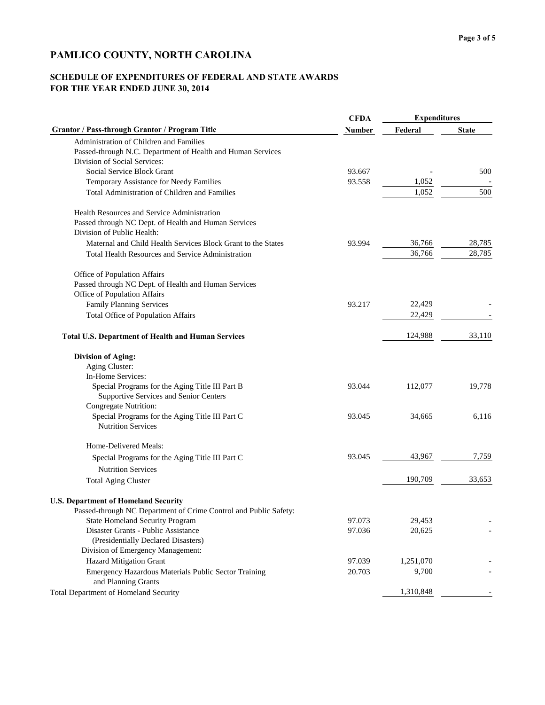| <b>Grantor / Pass-through Grantor / Program Title</b><br>Federal<br><b>Number</b><br><b>State</b><br>Administration of Children and Families<br>Passed-through N.C. Department of Health and Human Services<br>Division of Social Services:<br>Social Service Block Grant<br>93.667<br>500<br>1,052<br>93.558<br>Temporary Assistance for Needy Families<br>1,052<br>500<br>Total Administration of Children and Families<br>Health Resources and Service Administration<br>Passed through NC Dept. of Health and Human Services<br>Division of Public Health:<br>36,766<br>28,785<br>Maternal and Child Health Services Block Grant to the States<br>93.994<br>36,766<br>28,785<br>Total Health Resources and Service Administration<br>Office of Population Affairs<br>Passed through NC Dept. of Health and Human Services<br>Office of Population Affairs<br>22,429<br><b>Family Planning Services</b><br>93.217<br>22,429<br>Total Office of Population Affairs<br>124,988<br>33,110<br><b>Total U.S. Department of Health and Human Services</b><br><b>Division of Aging:</b><br>Aging Cluster:<br>In-Home Services:<br>Special Programs for the Aging Title III Part B<br>93.044<br>112,077<br>19,778<br>Supportive Services and Senior Centers<br>Congregate Nutrition:<br>Special Programs for the Aging Title III Part C<br>6,116<br>93.045<br>34,665<br><b>Nutrition Services</b><br>Home-Delivered Meals:<br>43,967<br>93.045<br>7,759<br>Special Programs for the Aging Title III Part C<br><b>Nutrition Services</b><br>190,709<br>33,653<br><b>Total Aging Cluster</b><br><b>U.S. Department of Homeland Security</b><br>Passed-through NC Department of Crime Control and Public Safety:<br><b>State Homeland Security Program</b><br>97.073<br>29,453<br>Disaster Grants - Public Assistance<br>97.036<br>20,625<br>(Presidentially Declared Disasters)<br>Division of Emergency Management:<br>Hazard Mitigation Grant<br>97.039<br>1,251,070<br>9,700<br>Emergency Hazardous Materials Public Sector Training<br>20.703<br>and Planning Grants<br><b>Total Department of Homeland Security</b><br>1,310,848 | <b>CFDA</b> | <b>Expenditures</b> |  |
|--------------------------------------------------------------------------------------------------------------------------------------------------------------------------------------------------------------------------------------------------------------------------------------------------------------------------------------------------------------------------------------------------------------------------------------------------------------------------------------------------------------------------------------------------------------------------------------------------------------------------------------------------------------------------------------------------------------------------------------------------------------------------------------------------------------------------------------------------------------------------------------------------------------------------------------------------------------------------------------------------------------------------------------------------------------------------------------------------------------------------------------------------------------------------------------------------------------------------------------------------------------------------------------------------------------------------------------------------------------------------------------------------------------------------------------------------------------------------------------------------------------------------------------------------------------------------------------------------------------------------------------------------------------------------------------------------------------------------------------------------------------------------------------------------------------------------------------------------------------------------------------------------------------------------------------------------------------------------------------------------------------------------------------------------------------------------------------------------------------------------------|-------------|---------------------|--|
|                                                                                                                                                                                                                                                                                                                                                                                                                                                                                                                                                                                                                                                                                                                                                                                                                                                                                                                                                                                                                                                                                                                                                                                                                                                                                                                                                                                                                                                                                                                                                                                                                                                                                                                                                                                                                                                                                                                                                                                                                                                                                                                                |             |                     |  |
|                                                                                                                                                                                                                                                                                                                                                                                                                                                                                                                                                                                                                                                                                                                                                                                                                                                                                                                                                                                                                                                                                                                                                                                                                                                                                                                                                                                                                                                                                                                                                                                                                                                                                                                                                                                                                                                                                                                                                                                                                                                                                                                                |             |                     |  |
|                                                                                                                                                                                                                                                                                                                                                                                                                                                                                                                                                                                                                                                                                                                                                                                                                                                                                                                                                                                                                                                                                                                                                                                                                                                                                                                                                                                                                                                                                                                                                                                                                                                                                                                                                                                                                                                                                                                                                                                                                                                                                                                                |             |                     |  |
|                                                                                                                                                                                                                                                                                                                                                                                                                                                                                                                                                                                                                                                                                                                                                                                                                                                                                                                                                                                                                                                                                                                                                                                                                                                                                                                                                                                                                                                                                                                                                                                                                                                                                                                                                                                                                                                                                                                                                                                                                                                                                                                                |             |                     |  |
|                                                                                                                                                                                                                                                                                                                                                                                                                                                                                                                                                                                                                                                                                                                                                                                                                                                                                                                                                                                                                                                                                                                                                                                                                                                                                                                                                                                                                                                                                                                                                                                                                                                                                                                                                                                                                                                                                                                                                                                                                                                                                                                                |             |                     |  |
|                                                                                                                                                                                                                                                                                                                                                                                                                                                                                                                                                                                                                                                                                                                                                                                                                                                                                                                                                                                                                                                                                                                                                                                                                                                                                                                                                                                                                                                                                                                                                                                                                                                                                                                                                                                                                                                                                                                                                                                                                                                                                                                                |             |                     |  |
|                                                                                                                                                                                                                                                                                                                                                                                                                                                                                                                                                                                                                                                                                                                                                                                                                                                                                                                                                                                                                                                                                                                                                                                                                                                                                                                                                                                                                                                                                                                                                                                                                                                                                                                                                                                                                                                                                                                                                                                                                                                                                                                                |             |                     |  |
|                                                                                                                                                                                                                                                                                                                                                                                                                                                                                                                                                                                                                                                                                                                                                                                                                                                                                                                                                                                                                                                                                                                                                                                                                                                                                                                                                                                                                                                                                                                                                                                                                                                                                                                                                                                                                                                                                                                                                                                                                                                                                                                                |             |                     |  |
|                                                                                                                                                                                                                                                                                                                                                                                                                                                                                                                                                                                                                                                                                                                                                                                                                                                                                                                                                                                                                                                                                                                                                                                                                                                                                                                                                                                                                                                                                                                                                                                                                                                                                                                                                                                                                                                                                                                                                                                                                                                                                                                                |             |                     |  |
|                                                                                                                                                                                                                                                                                                                                                                                                                                                                                                                                                                                                                                                                                                                                                                                                                                                                                                                                                                                                                                                                                                                                                                                                                                                                                                                                                                                                                                                                                                                                                                                                                                                                                                                                                                                                                                                                                                                                                                                                                                                                                                                                |             |                     |  |
|                                                                                                                                                                                                                                                                                                                                                                                                                                                                                                                                                                                                                                                                                                                                                                                                                                                                                                                                                                                                                                                                                                                                                                                                                                                                                                                                                                                                                                                                                                                                                                                                                                                                                                                                                                                                                                                                                                                                                                                                                                                                                                                                |             |                     |  |
|                                                                                                                                                                                                                                                                                                                                                                                                                                                                                                                                                                                                                                                                                                                                                                                                                                                                                                                                                                                                                                                                                                                                                                                                                                                                                                                                                                                                                                                                                                                                                                                                                                                                                                                                                                                                                                                                                                                                                                                                                                                                                                                                |             |                     |  |
|                                                                                                                                                                                                                                                                                                                                                                                                                                                                                                                                                                                                                                                                                                                                                                                                                                                                                                                                                                                                                                                                                                                                                                                                                                                                                                                                                                                                                                                                                                                                                                                                                                                                                                                                                                                                                                                                                                                                                                                                                                                                                                                                |             |                     |  |
|                                                                                                                                                                                                                                                                                                                                                                                                                                                                                                                                                                                                                                                                                                                                                                                                                                                                                                                                                                                                                                                                                                                                                                                                                                                                                                                                                                                                                                                                                                                                                                                                                                                                                                                                                                                                                                                                                                                                                                                                                                                                                                                                |             |                     |  |
|                                                                                                                                                                                                                                                                                                                                                                                                                                                                                                                                                                                                                                                                                                                                                                                                                                                                                                                                                                                                                                                                                                                                                                                                                                                                                                                                                                                                                                                                                                                                                                                                                                                                                                                                                                                                                                                                                                                                                                                                                                                                                                                                |             |                     |  |
|                                                                                                                                                                                                                                                                                                                                                                                                                                                                                                                                                                                                                                                                                                                                                                                                                                                                                                                                                                                                                                                                                                                                                                                                                                                                                                                                                                                                                                                                                                                                                                                                                                                                                                                                                                                                                                                                                                                                                                                                                                                                                                                                |             |                     |  |
|                                                                                                                                                                                                                                                                                                                                                                                                                                                                                                                                                                                                                                                                                                                                                                                                                                                                                                                                                                                                                                                                                                                                                                                                                                                                                                                                                                                                                                                                                                                                                                                                                                                                                                                                                                                                                                                                                                                                                                                                                                                                                                                                |             |                     |  |
|                                                                                                                                                                                                                                                                                                                                                                                                                                                                                                                                                                                                                                                                                                                                                                                                                                                                                                                                                                                                                                                                                                                                                                                                                                                                                                                                                                                                                                                                                                                                                                                                                                                                                                                                                                                                                                                                                                                                                                                                                                                                                                                                |             |                     |  |
|                                                                                                                                                                                                                                                                                                                                                                                                                                                                                                                                                                                                                                                                                                                                                                                                                                                                                                                                                                                                                                                                                                                                                                                                                                                                                                                                                                                                                                                                                                                                                                                                                                                                                                                                                                                                                                                                                                                                                                                                                                                                                                                                |             |                     |  |
|                                                                                                                                                                                                                                                                                                                                                                                                                                                                                                                                                                                                                                                                                                                                                                                                                                                                                                                                                                                                                                                                                                                                                                                                                                                                                                                                                                                                                                                                                                                                                                                                                                                                                                                                                                                                                                                                                                                                                                                                                                                                                                                                |             |                     |  |
|                                                                                                                                                                                                                                                                                                                                                                                                                                                                                                                                                                                                                                                                                                                                                                                                                                                                                                                                                                                                                                                                                                                                                                                                                                                                                                                                                                                                                                                                                                                                                                                                                                                                                                                                                                                                                                                                                                                                                                                                                                                                                                                                |             |                     |  |
|                                                                                                                                                                                                                                                                                                                                                                                                                                                                                                                                                                                                                                                                                                                                                                                                                                                                                                                                                                                                                                                                                                                                                                                                                                                                                                                                                                                                                                                                                                                                                                                                                                                                                                                                                                                                                                                                                                                                                                                                                                                                                                                                |             |                     |  |
|                                                                                                                                                                                                                                                                                                                                                                                                                                                                                                                                                                                                                                                                                                                                                                                                                                                                                                                                                                                                                                                                                                                                                                                                                                                                                                                                                                                                                                                                                                                                                                                                                                                                                                                                                                                                                                                                                                                                                                                                                                                                                                                                |             |                     |  |
|                                                                                                                                                                                                                                                                                                                                                                                                                                                                                                                                                                                                                                                                                                                                                                                                                                                                                                                                                                                                                                                                                                                                                                                                                                                                                                                                                                                                                                                                                                                                                                                                                                                                                                                                                                                                                                                                                                                                                                                                                                                                                                                                |             |                     |  |
|                                                                                                                                                                                                                                                                                                                                                                                                                                                                                                                                                                                                                                                                                                                                                                                                                                                                                                                                                                                                                                                                                                                                                                                                                                                                                                                                                                                                                                                                                                                                                                                                                                                                                                                                                                                                                                                                                                                                                                                                                                                                                                                                |             |                     |  |
|                                                                                                                                                                                                                                                                                                                                                                                                                                                                                                                                                                                                                                                                                                                                                                                                                                                                                                                                                                                                                                                                                                                                                                                                                                                                                                                                                                                                                                                                                                                                                                                                                                                                                                                                                                                                                                                                                                                                                                                                                                                                                                                                |             |                     |  |
|                                                                                                                                                                                                                                                                                                                                                                                                                                                                                                                                                                                                                                                                                                                                                                                                                                                                                                                                                                                                                                                                                                                                                                                                                                                                                                                                                                                                                                                                                                                                                                                                                                                                                                                                                                                                                                                                                                                                                                                                                                                                                                                                |             |                     |  |
|                                                                                                                                                                                                                                                                                                                                                                                                                                                                                                                                                                                                                                                                                                                                                                                                                                                                                                                                                                                                                                                                                                                                                                                                                                                                                                                                                                                                                                                                                                                                                                                                                                                                                                                                                                                                                                                                                                                                                                                                                                                                                                                                |             |                     |  |
|                                                                                                                                                                                                                                                                                                                                                                                                                                                                                                                                                                                                                                                                                                                                                                                                                                                                                                                                                                                                                                                                                                                                                                                                                                                                                                                                                                                                                                                                                                                                                                                                                                                                                                                                                                                                                                                                                                                                                                                                                                                                                                                                |             |                     |  |
|                                                                                                                                                                                                                                                                                                                                                                                                                                                                                                                                                                                                                                                                                                                                                                                                                                                                                                                                                                                                                                                                                                                                                                                                                                                                                                                                                                                                                                                                                                                                                                                                                                                                                                                                                                                                                                                                                                                                                                                                                                                                                                                                |             |                     |  |
|                                                                                                                                                                                                                                                                                                                                                                                                                                                                                                                                                                                                                                                                                                                                                                                                                                                                                                                                                                                                                                                                                                                                                                                                                                                                                                                                                                                                                                                                                                                                                                                                                                                                                                                                                                                                                                                                                                                                                                                                                                                                                                                                |             |                     |  |
|                                                                                                                                                                                                                                                                                                                                                                                                                                                                                                                                                                                                                                                                                                                                                                                                                                                                                                                                                                                                                                                                                                                                                                                                                                                                                                                                                                                                                                                                                                                                                                                                                                                                                                                                                                                                                                                                                                                                                                                                                                                                                                                                |             |                     |  |
|                                                                                                                                                                                                                                                                                                                                                                                                                                                                                                                                                                                                                                                                                                                                                                                                                                                                                                                                                                                                                                                                                                                                                                                                                                                                                                                                                                                                                                                                                                                                                                                                                                                                                                                                                                                                                                                                                                                                                                                                                                                                                                                                |             |                     |  |
|                                                                                                                                                                                                                                                                                                                                                                                                                                                                                                                                                                                                                                                                                                                                                                                                                                                                                                                                                                                                                                                                                                                                                                                                                                                                                                                                                                                                                                                                                                                                                                                                                                                                                                                                                                                                                                                                                                                                                                                                                                                                                                                                |             |                     |  |
|                                                                                                                                                                                                                                                                                                                                                                                                                                                                                                                                                                                                                                                                                                                                                                                                                                                                                                                                                                                                                                                                                                                                                                                                                                                                                                                                                                                                                                                                                                                                                                                                                                                                                                                                                                                                                                                                                                                                                                                                                                                                                                                                |             |                     |  |
|                                                                                                                                                                                                                                                                                                                                                                                                                                                                                                                                                                                                                                                                                                                                                                                                                                                                                                                                                                                                                                                                                                                                                                                                                                                                                                                                                                                                                                                                                                                                                                                                                                                                                                                                                                                                                                                                                                                                                                                                                                                                                                                                |             |                     |  |
|                                                                                                                                                                                                                                                                                                                                                                                                                                                                                                                                                                                                                                                                                                                                                                                                                                                                                                                                                                                                                                                                                                                                                                                                                                                                                                                                                                                                                                                                                                                                                                                                                                                                                                                                                                                                                                                                                                                                                                                                                                                                                                                                |             |                     |  |
|                                                                                                                                                                                                                                                                                                                                                                                                                                                                                                                                                                                                                                                                                                                                                                                                                                                                                                                                                                                                                                                                                                                                                                                                                                                                                                                                                                                                                                                                                                                                                                                                                                                                                                                                                                                                                                                                                                                                                                                                                                                                                                                                |             |                     |  |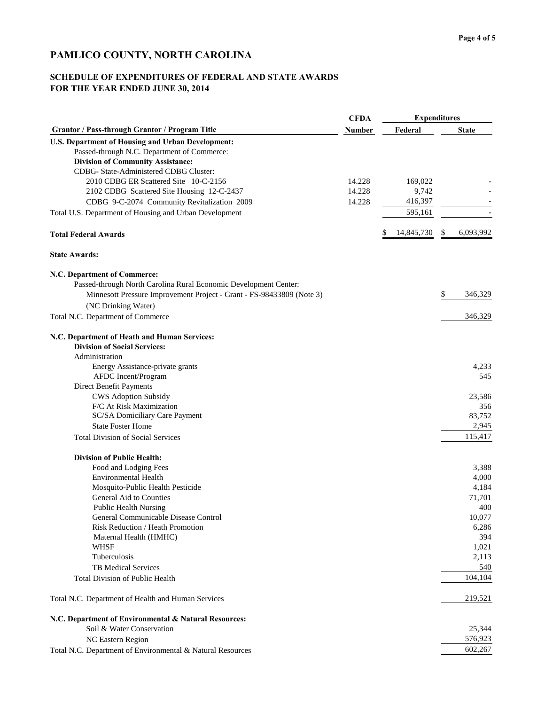|                                                                       | <b>CFDA</b> |    | <b>Expenditures</b> |               |              |
|-----------------------------------------------------------------------|-------------|----|---------------------|---------------|--------------|
| <b>Grantor / Pass-through Grantor / Program Title</b>                 | Number      |    | Federal             |               | <b>State</b> |
| <b>U.S. Department of Housing and Urban Development:</b>              |             |    |                     |               |              |
| Passed-through N.C. Department of Commerce:                           |             |    |                     |               |              |
| <b>Division of Community Assistance:</b>                              |             |    |                     |               |              |
| CDBG- State-Administered CDBG Cluster:                                |             |    |                     |               |              |
| 2010 CDBG ER Scattered Site 10-C-2156                                 | 14.228      |    | 169,022             |               |              |
| 2102 CDBG Scattered Site Housing 12-C-2437                            | 14.228      |    | 9,742               |               |              |
| CDBG 9-C-2074 Community Revitalization 2009                           | 14.228      |    | 416,397             |               |              |
| Total U.S. Department of Housing and Urban Development                |             |    | 595,161             |               |              |
|                                                                       |             |    | 14,845,730          |               |              |
| <b>Total Federal Awards</b>                                           |             | \$ |                     | $\frac{1}{2}$ | 6,093,992    |
| <b>State Awards:</b>                                                  |             |    |                     |               |              |
| N.C. Department of Commerce:                                          |             |    |                     |               |              |
| Passed-through North Carolina Rural Economic Development Center:      |             |    |                     |               |              |
| Minnesott Pressure Improvement Project - Grant - FS-98433809 (Note 3) |             |    |                     | \$            | 346,329      |
| (NC Drinking Water)                                                   |             |    |                     |               |              |
| Total N.C. Department of Commerce                                     |             |    |                     |               | 346,329      |
| N.C. Department of Heath and Human Services:                          |             |    |                     |               |              |
| <b>Division of Social Services:</b>                                   |             |    |                     |               |              |
| Administration                                                        |             |    |                     |               |              |
| Energy Assistance-private grants                                      |             |    |                     |               | 4,233        |
| AFDC Incent/Program                                                   |             |    |                     |               | 545          |
| Direct Benefit Payments                                               |             |    |                     |               |              |
| <b>CWS</b> Adoption Subsidy                                           |             |    |                     |               | 23,586       |
| F/C At Risk Maximization                                              |             |    |                     |               | 356          |
| SC/SA Domiciliary Care Payment                                        |             |    |                     |               | 83,752       |
| <b>State Foster Home</b>                                              |             |    |                     |               | 2,945        |
| <b>Total Division of Social Services</b>                              |             |    |                     |               | 115,417      |
| <b>Division of Public Health:</b>                                     |             |    |                     |               |              |
| Food and Lodging Fees                                                 |             |    |                     |               | 3,388        |
| <b>Environmental Health</b>                                           |             |    |                     |               | 4,000        |
| Mosquito-Public Health Pesticide                                      |             |    |                     |               | 4,184        |
| General Aid to Counties                                               |             |    |                     |               | 71,701       |
| Public Health Nursing                                                 |             |    |                     |               | 400          |
| General Communicable Disease Control                                  |             |    |                     |               | 10,077       |
| Risk Reduction / Heath Promotion                                      |             |    |                     |               | 6,286        |
| Maternal Health (HMHC)                                                |             |    |                     |               | 394          |
| WHSF                                                                  |             |    |                     |               | 1,021        |
| Tuberculosis                                                          |             |    |                     |               | 2,113        |
| <b>TB</b> Medical Services                                            |             |    |                     |               | 540          |
| <b>Total Division of Public Health</b>                                |             |    |                     |               | 104,104      |
| Total N.C. Department of Health and Human Services                    |             |    |                     |               | 219,521      |
| N.C. Department of Environmental & Natural Resources:                 |             |    |                     |               |              |
| Soil & Water Conservation                                             |             |    |                     |               | 25,344       |
| NC Eastern Region                                                     |             |    |                     |               | 576,923      |
| Total N.C. Department of Environmental & Natural Resources            |             |    |                     |               | 602,267      |